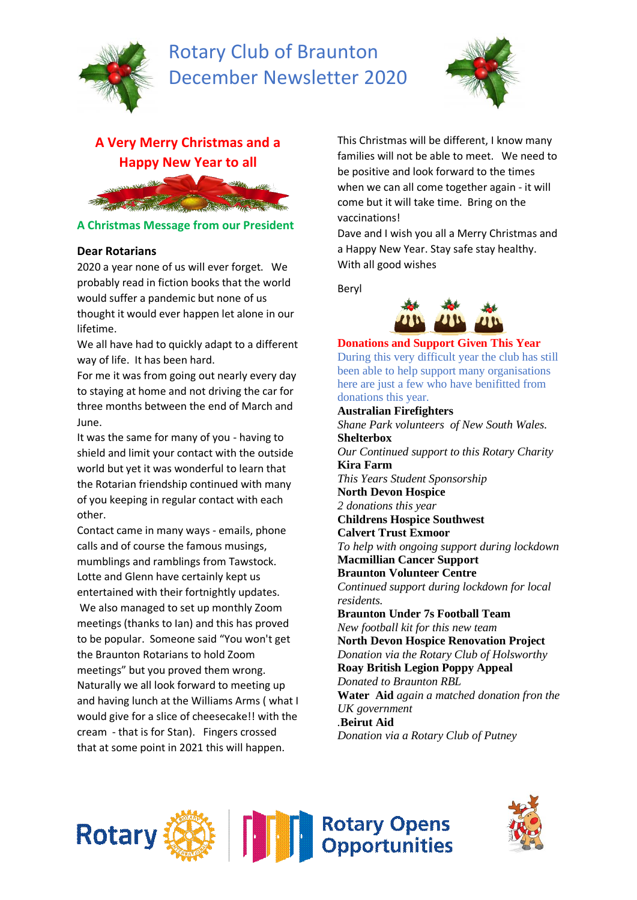

## Rotary Club of Braunton December Newsletter 2020



# **A Very Merry Christmas and a Happy New Year to all**



### **A Christmas Message from our President**

### **Dear Rotarians**

2020 a year none of us will ever forget. We probably read in fiction books that the world would suffer a pandemic but none of us thought it would ever happen let alone in our lifetime.

We all have had to quickly adapt to a different way of life. It has been hard.

For me it was from going out nearly every day to staying at home and not driving the car for three months between the end of March and June.

It was the same for many of you - having to shield and limit your contact with the outside world but yet it was wonderful to learn that the Rotarian friendship continued with many of you keeping in regular contact with each other.

Contact came in many ways - emails, phone calls and of course the famous musings, mumblings and ramblings from Tawstock. Lotte and Glenn have certainly kept us entertained with their fortnightly updates. We also managed to set up monthly Zoom meetings (thanks to Ian) and this has proved to be popular. Someone said "You won't get the Braunton Rotarians to hold Zoom meetings" but you proved them wrong. Naturally we all look forward to meeting up and having lunch at the Williams Arms ( what I would give for a slice of cheesecake!! with the cream - that is for Stan). Fingers crossed that at some point in 2021 this will happen.

This Christmas will be different, I know many families will not be able to meet. We need to be positive and look forward to the times when we can all come together again - it will come but it will take time. Bring on the vaccinations!

Dave and I wish you all a Merry Christmas and a Happy New Year. Stay safe stay healthy. With all good wishes

Beryl



**Donations and Support Given This Year** During this very difficult year the club has still been able to help support many organisations here are just a few who have benifitted from donations this year.

**Australian Firefighters** *Shane Park volunteers of New South Wales.* **Shelterbox** *Our Continued support to this Rotary Charity* **Kira Farm** *This Years Student Sponsorship* **North Devon Hospice** *2 donations this year* **Childrens Hospice Southwest Calvert Trust Exmoor** *To help with ongoing support during lockdown* **Macmillian Cancer Support Braunton Volunteer Centre** *Continued support during lockdown for local residents.* **Braunton Under 7s Football Team** *New football kit for this new team* **North Devon Hospice Renovation Project** *Donation via the Rotary Club of Holsworthy* **Roay British Legion Poppy Appeal** *Donated to Braunton RBL* **Water Aid** *again a matched donation fron the UK government .***Beirut Aid** *Donation via a Rotary Club of Putney*



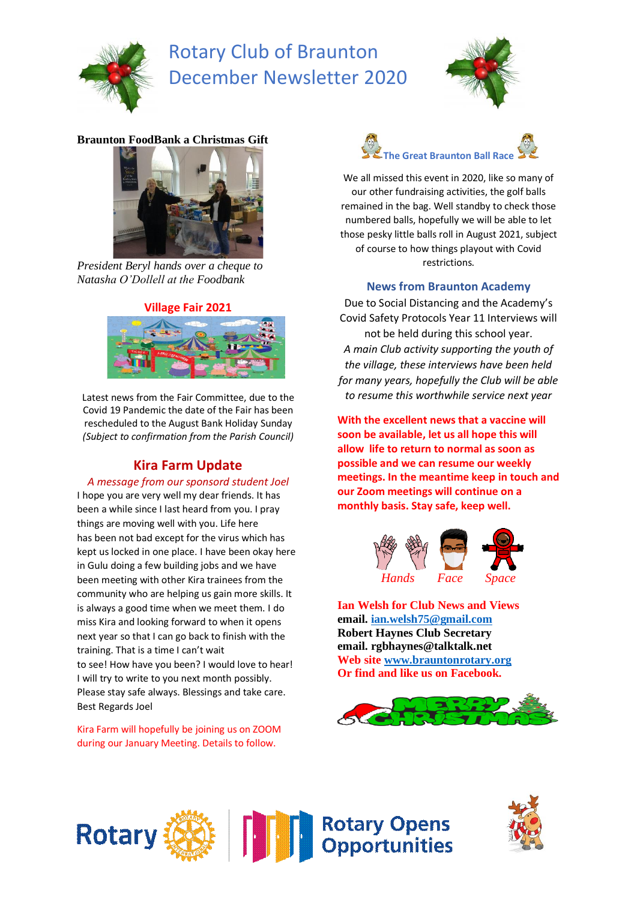

## Rotary Club of Braunton December Newsletter 2020



### **Braunton FoodBank a Christmas Gift**



*President Beryl hands over a cheque to Natasha O'Dollell at the Foodbank*



Latest news from the Fair Committee, due to the Covid 19 Pandemic the date of the Fair has been rescheduled to the August Bank Holiday Sunday *(Subject to confirmation from the Parish Council)*

## **Kira Farm Update**

#### *A message from our sponsord student Joel*

I hope you are very well my dear friends. It has been a while since I last heard from you. I pray things are moving well with you. Life here has been not bad except for the virus which has kept us locked in one place. I have been okay here in Gulu doing a few building jobs and we have been meeting with other Kira trainees from the community who are helping us gain more skills. It is always a good time when we meet them. I do miss Kira and looking forward to when it opens next year so that I can go back to finish with the training. That is a time I can't wait to see! How have you been? I would love to hear! I will try to write to you next month possibly. Please stay safe always. Blessings and take care. Best Regards Joel

Kira Farm will hopefully be joining us on ZOOM during our January Meeting. Details to follow.



We all missed this event in 2020, like so many of our other fundraising activities, the golf balls remained in the bag. Well standby to check those numbered balls, hopefully we will be able to let those pesky little balls roll in August 2021, subject of course to how things playout with Covid restrictions.

#### **News from Braunton Academy**

Due to Social Distancing and the Academy's Covid Safety Protocols Year 11 Interviews will not be held during this school year. *A main Club activity supporting the youth of the village, these interviews have been held for many years, hopefully the Club will be able to resume this worthwhile service next year*

**With the excellent news that a vaccine will soon be available, let us all hope this will allow life to return to normal as soon as possible and we can resume our weekly meetings. In the meantime keep in touch and our Zoom meetings will continue on a monthly basis. Stay safe, keep well.**



**Ian Welsh for Club News and Views email. [ian.welsh75@gmail.com](mailto:ian.welsh75@gmail.com) Robert Haynes Club Secretary email. rgbhaynes@talktalk.net Web sit[e www.brauntonrotary.org](http://www.brauntonrotary.org/) Or find and like us on Facebook.**





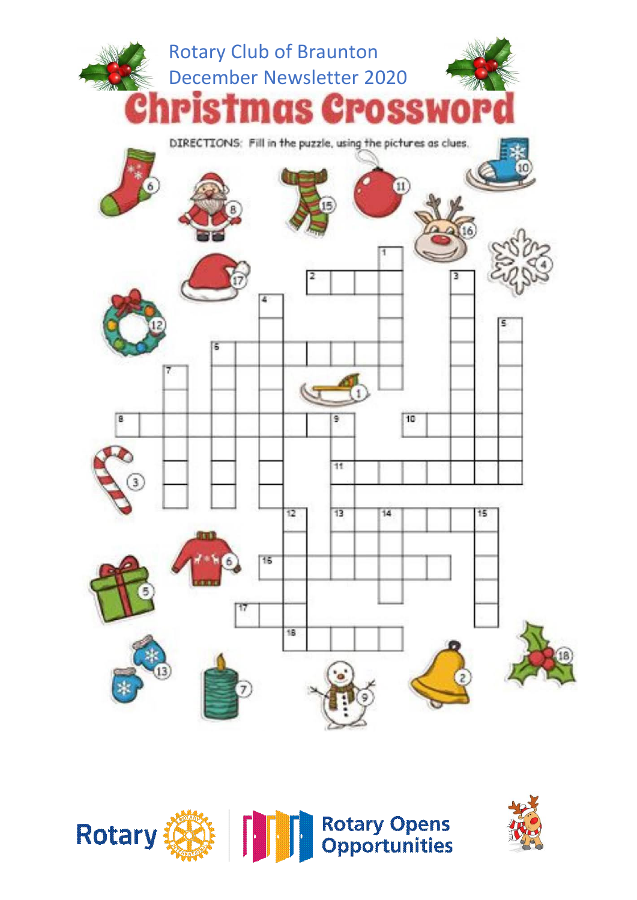